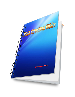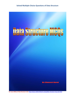

**By Shuseet Barat** 

**For more MCQs of Data Structure visit:<http://www.siteforinfotech.com/p/data-structure-mcq-sets.html>**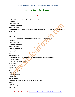### **Fundamentals of Data Structure**

#### **Set-1**

1. Which if the following is/are the levels of implementation of data structure

**For more MCQs of Data Structure visit:<http://www.siteforinfotech.com/p/data-structure-mcq-sets.html>** A) Abstract level B) Application level C) Implementation level D) All of the above **2. A binary search tree whose left subtree and right subtree differ in height by at most 1 unit is called**  A) AVL tree B) Red-black tree C) Lemma tree D) None of the above **3. ……………….. level is where the model becomes compatible executable code** A) Abstract level B) Application level C) Implementation level D) All of the above **4. Stack is also called as** A) Last in first out B) First in last out C) Last in last out D) First in first out **5. Which of the following is true about the characteristics of abstract data types?** i) It exports a type. ii) It exports a set of operations A) True, False B) False, True C) True, True D) False, False **6. …………… is not the component of data structure.** A) Operations B) Storage Structures C) Algorithms D) None of above **7. Which of the following is not the part of ADT description?** A) Data B) Operations C) Both of the above D) None of the above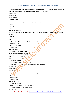**8. Inserting an item into the stack when stack is not full is called …………. Operation and deletion of item form the stack, when stack is not empty is called ………..operation.**

A) push, pop

- B) pop, push
- C) insert, delete
- D) delete, insert

**9. ……………. Is a pile in which items are added at one end and removed from the other.**

- A) Stack
- B) Queue
- C) List
- D) None of the above

**10. ………… is very useful in situation when data have to stored and then retrieved in reverse order.**

- A) Stack
- B) Queue
- C) List
- D) Link list

#### **11. Which of the following is not the type of queue?**

- A) Ordinary queue
- B) Single ended queue
- C) Circular queue
- D) Priority queue

#### **12. The property of binary tree is**

- A) The first subset is called left subtree
- B) The second subtree is called right subtree
- C) The root cannot contain NULL
- D) The right subtree can be empty

#### **13. State true or false.**

- i) The degree of root node is always zero.
- ii) Nodes that are not root and not leaf are called as internal nodes.
- A) True, True
- B) True, False
- C) False, True
- D) False, False

#### **14. Any node is the path from the root to the node is called**

- A) Successor node
- B) Ancestor node
- C) Internal node
- D) None of the above

#### **15. State true of false.**

- i) A node is a parent if it has successor nodes.
- ii) A node is child node if out degree is one.
- A) True, True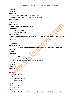| B) True, False                                                                              |
|---------------------------------------------------------------------------------------------|
| C) False, True                                                                              |
| D) False, False                                                                             |
| 16.  is not an operation performed on linear list                                           |
| a) Insertion<br>b) Deletion<br>c) Retrieval<br>d) Traversal                                 |
| A) only a,b and c                                                                           |
| B) only a and b                                                                             |
| C) All of the above                                                                         |
| D) None of the above                                                                        |
| 17. Which is/are the application(s) of stack                                                |
| A) Function calls                                                                           |
| B) Large number Arithmetic                                                                  |
| C) Evaluation of arithmetic expressions                                                     |
| D) All of the above                                                                         |
| 18. A  is an acyclic digraph, which has only one node with indegree 0, and other nodes have |
| indegree 1.                                                                                 |
| A) Directed tree                                                                            |
| B) Undirected tree                                                                          |
| C) Dis-joint tree                                                                           |
| D) Direction oriented tree                                                                  |
| 19.  Is a directed tree in which outdegree of each node is less than or equal to two.       |
| A) Unary tree                                                                               |
| B) Binary tree                                                                              |
| C) Dinary tree                                                                              |
| D) Both B and C                                                                             |
| 20. State true or false.                                                                    |
| i) An empty tree is also a binary tree.                                                     |
| ii) In strictly binary tree, the outdegree of every node is either o or 2.                  |
| A) True, False                                                                              |
| B) False, True                                                                              |
| C) True, True                                                                               |
| D) False, False                                                                             |
|                                                                                             |
| <b>Answers</b>                                                                              |
| 1.<br>D) All of the above                                                                   |
| A) AVL tree<br>2.                                                                           |
| C) Implementation level<br>3.                                                               |
| A) Last in first out<br>4.                                                                  |
| C) True, True<br>5.                                                                         |
| D) None of above<br>6.                                                                      |
| D) None of the above<br>7.                                                                  |

- 8. A) push, pop
- 9. B) Queue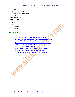- 10. A) Stack
- 11. B) Single ended queue
- 12. D) The right subtree can be empty
- 13. C) False, True
- 14. B) Ancestor node
- 15. B) True, False
- 16. D) None of the above
- 17. D) All of the above
- 18. A) Directed tree
- 19. B) Binary tree
- 20. C) True, True

#### **Related Posts**

- **[Solved MCQ on Stack and Queue in Data Structure](http://www.siteforinfotech.com/2014/12/solved-mcq-on-stack-queue-in-data-structure.html) set-1**
- **[Interview Questions on Stack and Queue in Data Structure](http://www.siteforinfotech.com/2014/12/interview-questions-stack-queue-data-structure.html) set-2**
- **[Solved MCQ on Tree and Graph in Data Structure](http://www.siteforinfotech.com/2014/12/solved-mcq-on-tree-graph-data-structure.html) set-1**
- **[Objective Questions on Tree and Graph in Data Structure](http://www.siteforinfotech.com/2014/12/objective-questions-tree-graph-data-structure.html) set-2**
- **[Solved MCQ of Data Structure](http://www.siteforinfotech.com/2012/12/solved-mcq-of-data-structure-set-1.html) Set - 1**
- **[Solved MCQ of Data Structure](http://www.siteforinfotech.com/2012/12/solved-mcq-of-data-structure-set-2.html) Set - 2**
- **[Solved Objective questions of computer data structure](http://www.siteforinfotech.com/2013/03/solved-objective-questions-of-data-structure.html) set-3**
- **Solved [MCQ of Data Structure](http://www.siteforinfotech.com/2013/10/solved-mcq-data-structure-algorithm.html) and Algorithm set-4**
- **MCQ of Data Structure [and Algorithm with Answer set-5](http://www.siteforinfotech.com/2013/10/mcq-of-data-structure-and-algorithm.html)**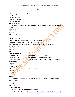#### **Set-2**

#### **1. A directed graph is ………………. if there is a path from each vertex to every other vertex in the digraph.**

A) Weakly connected

B) Strongly Connected

C) Tightly Connected

D) Linearly Connected

**2. In the …………….. traversal we process all of a vertex's descendents before we move to an adjacent vertex.**

- A) Depth First
- B) Breadth First
- C) With First
- D) Depth Limited

#### **3. State True of False.**

i) Network is a graph that has weights or costs associated with it.

- ii) An undirected graph which contains no cycles is called a forest.
- iii) A graph is said to be complete if there is no edge between every pair of vertices.
- A) True, False, True
- B) True, True, False
- C) True, True, True
- D) False, True, True

#### **4. Match the following.**

- 
- 
- 
- A) a-iii, b-ii, c-i
- B) a-i, b-ii, c-iii
- C) a-iii, b-i, c-ii
- D) a-i, b-iii, c-ii

a) Completeness i) How long does it take to find a solution

- b) Time Complexity iii) How much memory need to perform the search.
- c) Space Complexity **iii**) Is the strategy guaranteed to find the solution when there in one.
- **5. The number of comparisons done by sequential search is ………………**
- A) (N/2)+1
- B)  $(N+1)/2$
- C) (N-1)/2
- D) (N+2)/2

#### **6. In ……………, search start at the beginning of the list and check every element in the list.**

- A) Linear search
- B) Binary search
- C) Hash Search
- D) Binary Tree search
- **7. State True or False.**

i) Binary search is used for searching in a sorted array.

**For more MCQs of Data Structure visit:<http://www.siteforinfotech.com/p/data-structure-mcq-sets.html>**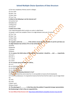ii) The time complexity of binary search is O(logn).

A) True, False

B) False, True

C) False, False

D) True, True

#### **8. Which of the following is not the internal sort?**

A) Insertion Sort

- B) Bubble Sort
- C) Merge Sort
- D) Heap Sort

#### **9. State True or False.**

i) An undirected graph which contains no cycles is called forest.

ii) A graph is said to be complete if there is an edge between every pair of vertices

A) True, True

B) False, True

C) False, False

D) True, False

#### **10. A graph is said to be ……………… if the vertices can be split into two sets V1 and V2 such there are no edges between two vertices of V1 or two vertices of V2.**

A) Partite

- B) Bipartite
- C) Rooted
- D) Bisects

**11. In a queue, the initial values of front pointer f rare pointer r should be ….. and …….. respectively.**

- A) 0 and 1
- B) 0 and -1
- $C$ ) -1 and 0
- D) 1 and 0

#### **12. In a circular queue the value of r will be ..**

A) r=r+1

B)  $r=(r+1)\%$  [QUEUE SIZE – 1]

C) r=(r+1)% QUEUE\_SIZE

D)  $r=(r-1)\%$  QUEUE SIZE

#### **13. Which of the following statement is true?**

i) Using singly linked lists and circular list, it is not possible to traverse the list backwards.

ii) To find the predecessor, it is required to traverse the list from the first node in case of singly linked list.

- A) i-only
- B) ii-only

C) Both i and ii

D) None of both

**14. The advantage of …………….. is that they solve the problem if sequential storage representation. But disadvantage in that is they are sequential lists.**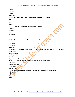A) Lists B) Linked Lists C) Trees D) Queues **15. What will be the value of top, if there is a size of stack STACK\_SIZE is 5** A) 5 B) 6 C) 4 D) None **16. ………… is not the operation that can be performed on queue.** A) Insertion

- B) Deletion
- C) Retrieval
- D) Traversal

#### **17. There is an extra element at the head of the list called a ……….**

- A) Antinel
- B) Sentinel
- C) List header
- D) List head

**18. A graph is a collection of nodes, called ………. And line segments called arcs or ……….. that connect**

#### **pair of nodes.**

- A) vertices, edges
- B) edges, vertices
- C) vertices, paths
- D) graph node, edges

#### **19. A ……….. is a graph that has weights of costs associated with its edges.**

- A) Network
- B) Weighted graph
- C) Both A and B
- D) None A and B

#### **20. In general, the binary search method needs no more than ……………. comparisons.**

- A)  $[log<sub>2</sub>n]-1$
- B) [logn]+1
- C)  $[log<sub>2</sub>n]$
- D)  $[log<sub>2</sub>n]+1$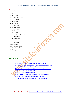#### **Answers**

- 1. B) Strongly Connected
- 2. A) Depth First
- 3. B) True, True, False
- 4. C) a-iii, b-i, c-ii
- 5. B) (N+1)/2
- 6. A) Linear search
- 7. D) True, True
- 8. C) Merge Sort
- 9. A) True, True
- 10. B) Bipartite
- 11. B) 0 and -1
- 12. C) r=(r+1)% QUEUE\_SIZE
- 13. C) Both i and ii
- 14. B) Linked Lists
- 15. C) 4
- 16. D) Traversal
- 17. B) Sentinel
- 18. A) vertices, edges
- 19. C) Both A and B
- 20. D)  $[log<sub>2</sub>n]+1$

### **Related Posts**

- **[Solved MCQ on Stack and Queue in Data Structure](http://www.siteforinfotech.com/2014/12/solved-mcq-on-stack-queue-in-data-structure.html) set-1**
- **[Interview Questions on Stack and Queue in Data Structure](http://www.siteforinfotech.com/2014/12/interview-questions-stack-queue-data-structure.html) set-2**
- **[Solved MCQ on Tree and Graph in Data Structure](http://www.siteforinfotech.com/2014/12/solved-mcq-on-tree-graph-data-structure.html) set-1**
- **[Objective Questions on Tree and Graph in Data Structure](http://www.siteforinfotech.com/2014/12/objective-questions-tree-graph-data-structure.html) set-2**
- **[Solved MCQ of Data Structure](http://www.siteforinfotech.com/2012/12/solved-mcq-of-data-structure-set-1.html) Set - 1**
- **[Solved MCQ of Data Structure](http://www.siteforinfotech.com/2012/12/solved-mcq-of-data-structure-set-2.html) Set - 2**
- **[Solved Objective questions of computer data structure](http://www.siteforinfotech.com/2013/03/solved-objective-questions-of-data-structure.html) set-3**
- **Solved [MCQ of Data Structure](http://www.siteforinfotech.com/2013/10/solved-mcq-data-structure-algorithm.html) and Algorithm set-4**
- **MCQ of Data Structure [and Algorithm with Answer set-5](http://www.siteforinfotech.com/2013/10/mcq-of-data-structure-and-algorithm.html)**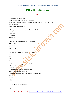### **MCQ on List and Linked List**

#### **Set-1**

1) Linked lists are best suited .....

- A. for relatively permanent collections of data.
- B. for the size of the structure and the data in the structure are constantly changing.
- C. data structure
- D. for none of above situation

2) The operation of processing each element in the list is known as ......

- A. sorting
- B. merging
- C. inserting
- D. traversal

3) The situation when in a linked list START=NULL is ....

- A. Underflow
- B. Overflow
- C. Houseful
- D. Saturated

4) Each node in singly linked list has ....... fields.

- A. 2
- B. 3
- C. 1
- D. 4

5) Which of the following is two way lists?

- A. Grounded header list
- B. Circular header list
- C. Linked list with header and trailer nodes
- D. List traversed in two directions
- 6) Which is the pointer associated with the availability list?
- A. FIRST
- B. AVAIL
- C. TOP
- D. REAR
- 7) Value of first linked list index is ....
- A. 0
- B. 1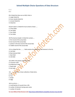C. -1

#### D. 2

- 8) In linked lists there are no NULL links in
- A. single linked list
- B. linear doubly linked list
- C. circular linked list
- D. linked list

9) Each node in a linked list must contain at least .....

- A. Three fields
- B. Two fields
- C. Four fields
- D. Five fields

10) The dummy header in linked list contain.....

- A. first record of the actual data
- B. last record of the actual data
- C. pointer to the last record of the actual data
- D. middle record of the actual data

11) In a linked list the .......... field contains the address of next element in the list.

- A. Link field
- B. Next element field
- C. Start field
- D. Info field
- 12) LLINK is the pointer pointing to the
- A. successor node
- B. predecessor node
- C. head node
- D. last node
- 13) .......... refers to a linear collection of data items.
- A. List
- B. Tree
- C. Graph
- D. Edge

14) A run list is......

- A. small batches of records from a file
- B. number of elements having same value

C. number of records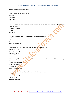- D. number of files in external storage
- 15) A ...... indicates the end of the list.
- A. Guard
- B. Sentinel
- C. End pointer
- D. Last pointer

16) A ........ is a linear list in which insertions and deletions are made to from either end of the structure.

- A. circular queue
- B. random of queue
- C. priority
- D. dequeue

17) Indexing the........ element in the list is not possible in linked lists.

- A. middle
- B. first
- C. last
- D. anywhere in between

18) A linear list in which the pointer points only to the successive node is......

- A. singly linked list
- B. circular linked list
- C. doubly linked list
- D. none of the above

19) .......... may take place only when there is some minimum amount (or) no space left in free storage list.

- A. Memory management
- B. Garbage collection
- C. Recycle bin
- D. Memory management

20) A linear list in which the last node points to the first node is ........

- A. singly linked list
- B. circular linked list
- C. doubly linked list
- D. none of the above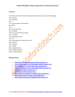#### **Answers**

- 1) B. for the size of the structure and the data in the structure are constantly changing.
- 2) D. traversal
- 3) A. Underflow
- 4) A. 2
- 5) D. List traversed in two directions
- 6) B. AVAIL
- 7) A. 0
- 8) C. circular linked list
- 9) B. Two fields
- 10) A. first record of the actual data
- 11) A. Link field
- 12) B. predecessor node
- 13) A. List
- 14) A. small batches of records from a file
- 15) B. Sentinel
- 16) D. dequeue
- 17) A. middle
- 18) A. singly linked list
- 19) B. Garbage collection
- 20) B. circular linked list

#### **Related Posts**

- **[Solved MCQ on Stack and Queue in Data Structure](http://www.siteforinfotech.com/2014/12/solved-mcq-on-stack-queue-in-data-structure.html) set-1**
- **[Interview Questions on Stack and Queue in Data Structure](http://www.siteforinfotech.com/2014/12/interview-questions-stack-queue-data-structure.html) set-2**
- **[Solved MCQ on Tree and Graph in Data Structure](http://www.siteforinfotech.com/2014/12/solved-mcq-on-tree-graph-data-structure.html) set-1**
- **[Objective Questions on Tree and Graph in Data Structure](http://www.siteforinfotech.com/2014/12/objective-questions-tree-graph-data-structure.html) set-2**
- **[Solved MCQ of Data Structure](http://www.siteforinfotech.com/2012/12/solved-mcq-of-data-structure-set-1.html) Set - 1**
- **[Solved MCQ of Data Structure](http://www.siteforinfotech.com/2012/12/solved-mcq-of-data-structure-set-2.html) Set - 2**
- **[Solved Objective questions of computer data structure](http://www.siteforinfotech.com/2013/03/solved-objective-questions-of-data-structure.html) set-3**
- **[Solved MCQ of Data Structure](http://www.siteforinfotech.com/2013/10/solved-mcq-data-structure-algorithm.html) and Algorithm set-4**
- **MCQ of Data Structure [and Algorithm with Answer set-5](http://www.siteforinfotech.com/2013/10/mcq-of-data-structure-and-algorithm.html)**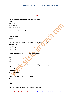#### **Set-2**

- 1) To insert a new node in linked list free node will be available in........
- A. Available list
- B. Avail list
- C. Free node list
- D. Memory space list
- 2) A singly linked list is also called as........
- A. linked list
- B. one way chain
- C. two way chain
- D. right link
- 3) A ..... list is a header list where the node points back to the header node.
- A. Circular header
- B. Grounded header
- C. Two way header
- D. One way header
- 4) A doubly linked list has .......... pointers with each node.
- A. 0
- B. 1
- C. 2
- D. 3
- 5) Header linked lists are frequently used for maintaining........ in memory.
- A. Polynomials
- B. Binomal
- C. Trinomial
- D. Quadratic equation
- 6) The pointer that points to the first node in the list is........
- A. FIRST
- B. AVAIL
- C. TOP
- D. REAR

7) Two-way list may be maintained in memory by means of.............

A. Queues

**For more MCQs of Data Structure visit:<http://www.siteforinfotech.com/p/data-structure-mcq-sets.html>**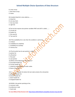- B. Linear arrays
- C. Non linear arrays
- D. Stacks
- 8) A doubly linked list is also called as..........
- A. linked list
- B. one way chain
- C. two way chain
- D. right link

9) The list that requires two pointer variables FIRST and LAST is called........

- A. Circular list
- B. Header list
- C. One way list
- D. Two way list

10) If the availability list is null, then the condition is said to be.

- A. nil block
- B. availability list underflow
- C. availability list overflow
- D. memory loss

11) The list which has its own pointer is called...

- A. pointer list
- B. self pointer
- C. free pool
- D. own pointer
- 12) Which of the following is two way lists?
- A. Grounded header list
- B. Circular header list
- C. Linked list with header and trailer nodes
- D. None of the above

13) A .......... is a header list where the last node contains the null pointer.

- A. grounded header list
- B. bottom header list
- C. down header list
- D. dropped header list
- 14) RLINK is the pointer pointing to the...
- A. successor node
- B. predecessor node
- C. head node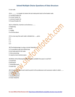#### D. last node

15) A ............. is a header list where the last node points back to the header node.

- A. rounded header list
- B. circular header list
- C. common header list
- D. forward header list

16) In a linked list, insertion can be done as.........

- A. beginning
- B. end
- C. middle
- D. all of the above

17) In a two-way lists each node is divided into .......parts.

- A. 1
- B. 2
- C. 3
- D. 4

18) The disadvantage in using a circular linked list is ....

- A. it is possible to get into infinite loop
- B. last node points to fist node.
- C. time consuming
- D. requires more memory space.

19) Which of the following conditions checks available free space in avail list?

- A. Avail=Null
- B. Null=Avail
- C. Avail=Max stack
- D. Avail=Top

20) A linear list in which each node has point to the predecessor and successors nodes is called ........

- A. singly linked list
- B. circular linked list
- C. doubly linked list
- D. linear linked list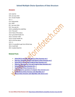#### **Answers**

1) B. Avail list 2) B. one way chain 3) A. Circular header 4) C. 2 5) A. Polynomials 6) A. FIRST 8) C. two way chain 9) D. Two way list 10) B. availability list underflow 11) C. free pool 12) D. None of the above 13) A. grounded header list 14) A. successor node 15) B. circular header list 16) D. all of the above 17) C. 3 18) A. it is possible to get into infinite loop 19) A. Avail=Null 20) C. doubly linked list

### **Related Posts**

- **[Solved MCQ on Stack and Queue in Data Structure](http://www.siteforinfotech.com/2014/12/solved-mcq-on-stack-queue-in-data-structure.html) set-1**
- **[Interview Questions on Stack and Queue in Data Structure](http://www.siteforinfotech.com/2014/12/interview-questions-stack-queue-data-structure.html) set-2**
- **[Solved MCQ on Tree and Graph in Data Structure](http://www.siteforinfotech.com/2014/12/solved-mcq-on-tree-graph-data-structure.html) set-1**
- **[Objective Questions on Tree and Graph in Data Structure](http://www.siteforinfotech.com/2014/12/objective-questions-tree-graph-data-structure.html) set-2**
- **[Solved MCQ of Data Structure](http://www.siteforinfotech.com/2012/12/solved-mcq-of-data-structure-set-1.html) Set - 1**
- **[Solved MCQ of Data Structure](http://www.siteforinfotech.com/2012/12/solved-mcq-of-data-structure-set-2.html) Set - 2**
- **[Solved Objective questions of computer data structure](http://www.siteforinfotech.com/2013/03/solved-objective-questions-of-data-structure.html) set-3**
- **[Solved MCQ of Data Structure](http://www.siteforinfotech.com/2013/10/solved-mcq-data-structure-algorithm.html) and Algorithm set-4**
- **MCQ of Data Structure [and Algorithm with Answer set-5](http://www.siteforinfotech.com/2013/10/mcq-of-data-structure-and-algorithm.html)**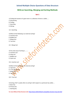### **MCQ on Searching, Merging and Sorting Methods**

#### **Set-1**

- 1) Finding the location of a given item in a collection of items is called......
- A. Discovering
- B. Finding
- C. Searching
- D. Mining
- 1) C. Searching
- 2) Which of the following is an external sorting?
- A. Insertion Sort
- B. Bubble Sort
- C. Merge Sort
- D. Tree Sort
- 2) C. Merge Sort
- 3) Very slow way of sorting is..........
- A. Insertion sort
- B. Heap sort
- C. Bubble sort
- D. Quick sort
- 3) A. Insertion sort
- 4) Which of the following is an internal sorting?
- A. Tape Sort
- B. 2-way Merge Sort
- C. Merge Sort
- D. Tree Sort

4) D. Tree Sort

5) Sorting a file F usually refers to sorting F with respect to a particular key called.....

- A. Basic key
- B. Primary key
- C. Starting key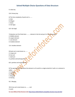D. Index key

5) B. Primary key

- 6) The time complexity of quick sort is........
- A. O(n)
- B. O(logn)
- C. O(n2)
- D. O(n logn)

6) D. O(n logn)

7) Selection sort first finds them .......... element in the list and put it in the first position.

- A. Middle element
- B. Largest element
- C. Last element
- D. Smallest element

7) D. Smallest element

- 8) Quick sort is also known as........
- A. merge sort
- B. tree sort
- C. shell sort
- D. partition and exchange sort-
- 8) D. partition and exchange sort

9) The operation that combines the element is of A and B in a single sorted list C with n=r+s element is called....

- A. Inserting
- B. Mixing
- C. Merging
- D. Sharing

9) C. Merging

10) A tree sort is also known as ......... sort. A. quick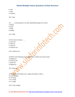B. shell

C. heap

D. selection

10) C. heap

11) .......... sorting is good to use when alphabetizing large list of names.

- A. Merge
- B. Heap
- C. Radix
- D. Bubble

11) C. Radix

- 12) The easiest sorting is........
- A. quick sort
- B. shell sort
- C. heap sort
- D. selection sort

12) D. selection sort

13) Which of the following sorting algorithm is of divide and conquer type?

A. Bubble sort

- B. Insertion sort
- C. Quick sort
- D. Merge sort

13) C. Quick sort

14) Merging k sorted tables into a single sorted table is called......

- A. k way merging
- B. k th merge
- C. k+1 merge
- D. k-1 merge

14) A. k way merging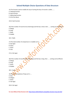15) The function used to modify the way of sorting the keys of records is called........

- A. Indexing function
- B. Hash function
- C. Addressing function
- D. All of the above
- 15) B. Hash function

16) If the number of record to be sorted large and the key is short, then ...... sorting can be efficient.

- A. Merge
- B. Heap
- C. Radix
- D. Bubble

16) C. Radix

- 17) The total number of comparisons in a bubble sort is ....
- A. O(n logn)
- B. O(2n)
- C. O(n2)
- D. O(n)

17) A. O(n logn)

18) If the number of record to be sorted large and the key is long, then ...... sorting can be efficient.

- A. Merge
- B. Heap
- C. Quick
- D. Bubble
- 18) C. Quick
- 19) The time complexity of heap sort is ....

A. O(n)

- B. O(logn)
- C. O(n2)
- D. O(n logn)

19) D. O(n logn)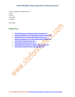20) The complexity of selection sort is .......

A. O(n)

B. O(n2)

C. O(n logn)

D. O(logn)

20) B. O(n2)

### **Related Posts**

- **[Solved MCQ on Stack and Queue in Data Structure](http://www.siteforinfotech.com/2014/12/solved-mcq-on-stack-queue-in-data-structure.html) set-1**
- **[Interview Questions on Stack and Queue in Data Structure](http://www.siteforinfotech.com/2014/12/interview-questions-stack-queue-data-structure.html) set-2**
- **[Solved MCQ on Tree and Graph in Data Structure](http://www.siteforinfotech.com/2014/12/solved-mcq-on-tree-graph-data-structure.html) set-1**
- **[Objective Questions on Tree and Graph in Data Structure](http://www.siteforinfotech.com/2014/12/objective-questions-tree-graph-data-structure.html) set-2**
- **[Solved MCQ of Data Structure](http://www.siteforinfotech.com/2012/12/solved-mcq-of-data-structure-set-1.html) Set - 1**
- **[Solved MCQ of Data Structure](http://www.siteforinfotech.com/2012/12/solved-mcq-of-data-structure-set-2.html) Set - 2**
- **[Solved Objective questions of computer data structure](http://www.siteforinfotech.com/2013/03/solved-objective-questions-of-data-structure.html) set-3**
- **[Solved MCQ of Data Structure](http://www.siteforinfotech.com/2013/10/solved-mcq-data-structure-algorithm.html) and Algorithm set-4**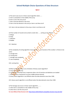#### **Set-2**

1) The worst case occurs in linear search algorithm when.......

A. Item is somewhere in the middle of the array

B. Item is not in the array at all

C. Item is the last element in the array

D. Item is the last element in the array or item is not there at all

1) D. Item is the last element in the array or item is not there at all

2) If the number of records to be sorted is small, then ...... sorting can be efficient

- A. Merge
- B. Heap
- C. Selection
- D. Bubble
- 2) C. Selection

3) The complexity of sorting algorithm measures the ..... as a function of the number n of items to be sorter.

- A. average time
- B. running time

C. average-case complexit

D. case-complexity

3) B. running time

4) Which of the following is not a limitation of binary search algorithm?

A. must use a sorted array

B. requirement of sorted array is expensive when a lot of insertion and deletions are needed

C. there must be a mechanism to access middle element directly

D. binary search algorithm is not efficient when the data elements more than 1500.

4) D. binary search algorithm is not efficient when the data elements more than 1500.

5) The Average case occurs in linear search algorithm..........

A. when item is somewhere in the middle of the array

B. when item is not the array at all

**For more MCQs of Data Structure visit:<http://www.siteforinfotech.com/p/data-structure-mcq-sets.html>**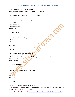C. when item is the last element in the array

D. Item is the last element in the array or item is not there at all

5) A. when item is somewhere in the middle of the array

- 6) Binary search algorithm cannot be applied to...
- A. sorted linked list
- B. sorted binary trees
- C. sorted linear array
- D. pointer array

6) D. pointer array

- 7) Complexity of linear search algorithm is.........
- A. O(n)
- B. O(logn)
- C. O(n2)
- D. O(n logn)
- 7) A. O(n)
- 8) Sorting algorithm can be characterized as....
- A. Simple algorithm which require the order of n<sup>2</sup> comparisons to sort n items.
- B. Sophisticated algorithms that require the O(nlog2n) comparisons to sort items.
- C. Both of the above
- D. None of the above

8) C. Both of the above

- 9) The complexity of bubble sort algorithm is.....
- A. O(n)
- B. O(logn)
- C. O(n2)
- D. O(n logn)

9) C. O(n2)

10) State True or False for internal sorting algorithms.

i) Internal sorting are applied when the entire collection if data to be sorted is small enough that the sorting can take place within main memory.

**For more MCQs of Data Structure visit:<http://www.siteforinfotech.com/p/data-structure-mcq-sets.html>**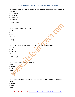ii) The time required to read or write is considered to be significant in evaluating the performance of internal sorting.

A. i-True, ii-True

- B. i-True, ii-False
- C. i-False, ii-True
- D. i-False, ii-False

10) B. i-True, ii-False

- 11) The complexity of merge sort algorithm is......
- A. O(n)
- B. O(logn)
- C. O(n2)
- D. O(n logn)

11) D. O(n logn)

12) ...........order is the best possible for array sorting algorithm which sorts n item.

- A. O(n logn)
- B. O(n2)
- C. O(n+logn)
- D. O(logn)

12) C. O(n+logn)

- 13) ............ is the method used by card sorter?
- A. Radix sort
- B. Insertion
- C. Heap
- D. Quick
- 13) A. Radix sort

14)........ Sorting algorithm is frequently used when n is small where n is total number of elements.

- A. Heap
- B. Insertion
- C. Bubble
- D. Quick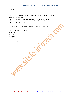14) B. Insertion

15) Which of the following is not the required condition for binary search algorithm?

- A. The list must be sorted
- B. There should be the direct access to the middle element in any sub list
- C. There must be mechanism to delete and/or insert elements in list.
- D. Number values should only be present

15) C. There must be mechanism to delete and/or insert elements in list.

16) Partition and exchange sort is........

- A. quick sort
- B. tree sort
- C. heap sort
- D. bubble sort

16) A. quick sort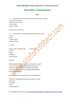### **Solved MCQ on Stack and Queue**

#### **Set-1**

- 1) ......... form of access is used to add and remove nodes from a queue.
- A. LIFO, Last In First Out
- B. FIFO, First In First Out
- C. Both a and b
- D. None of these
- 1) B. FIFO, First In First Out

2) ........ form of access is used to add remove nodes from a stack.

- A. LIFO
- B. FIFO
- C. Both A and B
- D. None of these
- 2) A. LIFO
- 3) New nodes are added to the ......... of the queue
- A. Front
- B. Back
- C. Middle
- D. Both A and B

3) B. Back

- 4) What happens when you push a new node onto a stack?
- A. The new node is placed at the front of the linked list
- B. The new node is placed at the back of the linked list
- C. The new node is placed at the middle of the linked list
- D. No Changes happens

4) A. The new node is placed at the front of the linked list

- 5) Which of the following name does not relate to stacks?
- A. FIFO lists
- B. LIFO lists
- C. Piles
- D. Push down lists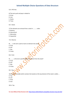- 5) A. FIFO lists
- 6) The term push and pop is related to
- A. Array
- B. Lists
- C. Stacks
- D. Trees
- 6) C. Stacks
- 7) The elements are removal from a stack in .......... order.
- A. Reverse
- B. Hierarchical
- C. Alternative
- D. Sequential
- 7) A. Reverse
- 8) ...... is the term used to insert an element into stack?
- A. Push
- B. Pull
- C. Pop
- D. Pump
- 8) A. Push
- 9) .......... is the term used to delete an element from the stack?
- A. Push
- B. Pull
- C. Pop
- D. Pump
- 9) C. Pop

10) A pointer variable which contains the location at the top element of the stack is called.....

- A. Top
- B. Last
- C. Final
- D. End

10) A. Top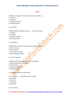#### **Set-2**

- 1) Before inserting into stack one must check the condition.........
- A. Overflow
- B. Underflow
- C. Maximum elements
- D. Existing elements
- 1) A. Overflow
- 2) Before deletion condition into stack ...... has to be checked.
- A. Overflow
- B. Underflow
- C. Maximum elements
- D. Existing elements
- 2) B. Underflow
- 3) When does Top value of stack change in insertion process
- A. Before insertion
- B. After insertion
- C. At the time of insertion
- D. While checking overflow
- 3) A. Before insertion
- 4) Deletion in the linked stack takes place by deleting........
- A. Node pointed by the start process.
- B. End of the list
- C. Beginning of the list
- D. Middle of the list
- 4) A. Node pointed by the start process
- 5) The condition........ Indicate the queue is empty.
- A. Front=Null
- B. Null=Front
- C. Front=Rear
- D. Rear=Null
- 5) A. Front=Null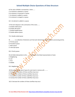- 6) The value of REAR is increased by 1 when.......
- A. An element is deleted in a queue
- B. An element is traversed in a queue
- C. An element is added in a queue
- D. An element is merged in a queue
- 6) C. An element is added in a queue
- 7) The term dequeue is the contraction of the name........
- A. Double ended queue
- B. Double side queue
- C. Double headed queue
- D. Double address queue
- 7) A. Double ended queue

8) ............. is a collection of elements such that each element has been assigned a processing priority.

- A. Priority queue
- B. Procedure queue
- C. Main queue
- D. Interrupt queue
- 8) A. Priority queue
- 9) Link fields hold pointers to the .......... element in the linked representation of stack.
- A. Neighboring
- B. Last
- C. First
- D. Middle
- 9) A. Neighboring
- 10) Reversing a great deal of space for each stack in memory will...........
- A. Decrease the numbers of times overflow may occur
- B. Increase the numbers of times overflow may occur
- C. Increase the number of times underflow may occur
- D. Increase the number of times underflow may occur.

10) A. Decrease the numbers of times overflow may occur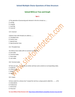### **Solved MCQ on Tree and Graph**

#### **Set-1**

- 1) The operation of processing each element in the list is known as......
- A. sorting
- B. merging
- C. inserting
- D. traversal
- 1) D. traversal
- 2) Binary trees with threads are called as.......
- A. Threaded trees
- B. Pointer trees
- C. Special trees
- D. Special pointer trees
- 2) A. Threaded trees
- 3) In Binary trees nodes with no successor are called...
- A. End nodes
- B. Terminal nodes
- C. Final nodes
- D. Last nodes
- 3) B. Terminal nodes

4) Trees are said .......... if they are similar and have same contents at corresponding nodes.

- A. Duplicate
- B. Carbon copy
- C. Replica
- D. Copies

5) Every node N in a binary tree T except the root has a unique parent called the ......... of N.

- A. Antecedents
- B. Predecessor
- C. Forerunner
- D. Precursor

<sup>4)</sup> D. Copies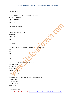#### 5) B. Predecessor

6) Sequential representation of binary tree uses........

- A. Array with pointers
- B. Single linear array
- C. Two dimensional arrays
- D. Three dimensional arrays
- 6) A. Array with pointers
- 7) TREE[1]=NULL indicates tree is ........
- A. Overflow
- B. Underflow
- C. Empty
- D. Full
- 7) C. Empty
- 8) Linked representation of binary tree needs ......... parallel arrays.
- A. 4
- B. 2
- C. 3
- D. 5
- 8) C. 3
- 9) In a 2-tree, nodes with 0 children are called............
- A. Exterior node
- B. Outside node
- C. Outer node
- D. External node
- 9) D. External node

10) In a extended-binary tree nodes with 2 children are called........

- A. Interior node
- B. Domestic node
- C. Internal node
- D. Inner node
- 10) C. Internal node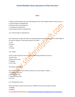#### **Set-2**

- 1) While converting binary tree into extended binary tree, all the original nodes in binary tree are.......
- A. Internal nodes on extended tree
- B. External nodes on extended tree
- C. Vanished on extended tree
- D. Intermediate nodes on extended tree
- 1) A. Internal nodes on extended tree

2) In a binary tree, certain null entries are replaced by special pointers which point to nodes higher in the tree for efficiency. These special pointers are called.........

- A. Leaf
- B. Branch
- C. Path
- D. Thread
- 2) D. Thread
- 3) The in order traversal of tree will yield a sorted listing of elements of tree in....
- A. Binary trees
- B. Binary search trees
- C. Merging
- D. AVL Trees
- 3) B. Binary search trees

4) A binary tree whose every node has either zero or two children is called.........

- A. Complete binary tree
- B. Binary Search tree
- C. Extended binary tree
- D. E2 tree

4) C. Extended binary tree

5) The post order traversal of a binary tree is DEBFCA. Find out the pre order Traversal.

- A. ABFCDE
- B. ADBFEC

**For more MCQs of Data Structure visit:<http://www.siteforinfotech.com/p/data-structure-mcq-sets.html>**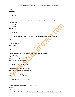C. ABDECF

D. ABDCEF

5) C. ABDECF

6) In order traversing a tree resulted E A C K F H D B G; the preorder traversal would return.

- A. FAEKCDBHG
- B. FAEKCDHGB
- C. EAFKHDCBG
- D. FEAKDCHBG

6) B. FAEKCDHGB

7) In linked representation of Binary trees LEFT[k] contains the ........ of at the node N, where k is the location.

- A. Data
- B. Location and left child
- C. Right child address
- D. Null value

7) A. Data

8) Three standards ways of traversing a binary tree T with root R .......

- A. Prefix, infix, postfix
- B. Pre-process, in-process, post-process
- C. Pre-traversal, in-traversal, post-traversal
- D. Pre-order, in-order, post-order

8) D. Pre-order, in-order, post-order

- 9) Which indicates pre-order traversal?
- A. Left sub-tree, Right sub-tree and root
- B. Right sub-tree, Left sub-tree and root
- C. Root, Left sub-tree, Right sub-tree
- D. Right sub-tree, root, Left sub-tree
- 9) C. Root, Left sub-tree, Right sub-tree

10) A terminal node in a binary tree is called ............

A. Root

B. Leaf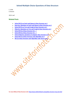C. Child

D. Branch

10) B. Leaf

#### **Related Posts**

- **[Solved MCQ on Stack and Queue in Data Structure](http://www.siteforinfotech.com/2014/12/solved-mcq-on-stack-queue-in-data-structure.html) set-1**
- **[Interview Questions on Stack and Queue in Data Structure](http://www.siteforinfotech.com/2014/12/interview-questions-stack-queue-data-structure.html) set-2**
- **[Solved MCQ on Tree and Graph in Data Structure](http://www.siteforinfotech.com/2014/12/solved-mcq-on-tree-graph-data-structure.html) set-1**
- **[Objective Questions on Tree and](http://www.siteforinfotech.com/2014/12/objective-questions-tree-graph-data-structure.html) Graph in Data Structure set-2**
- **[Solved MCQ of Data Structure](http://www.siteforinfotech.com/2012/12/solved-mcq-of-data-structure-set-1.html) Set - 1**
- **[Solved MCQ of Data Structure](http://www.siteforinfotech.com/2012/12/solved-mcq-of-data-structure-set-2.html) Set - 2**
- **[Solved Objective questions of computer data structure](http://www.siteforinfotech.com/2013/03/solved-objective-questions-of-data-structure.html) set-3**
- **[Solved MCQ of Data Structure](http://www.siteforinfotech.com/2013/10/solved-mcq-data-structure-algorithm.html) and Algorithm set-4**
- **MCQ of Data Structure [and Algorithm with Answer set-5](http://www.siteforinfotech.com/2013/10/mcq-of-data-structure-and-algorithm.html)**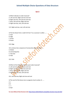#### **Set-3**

- 1) Which indicates in-order traversal?
- A. Left sub-tree, Right sub-tree and root
- B. Right sub-tree, Left sub-tree and root
- C. Root, Left sub-tree, Right sub-tree
- D. Right sub-tree, root, Left sub-tree
- 1) D. Right sub-tree, root, Left sub-tree

2) The line drawn from a node N of tree T to a successor is called .......

- A. Path
- B. Edge
- C. Arrow
- D. Route
- 2) B. Edge

3) In a binary tree a sequence of consecutive edges is called ......

- A. Rotate
- B. Connecting lines
- C. Two-way
- D. Path

3) D. Path

4) Which of the following indicates post-order traversal?

- A. Left sub-tree, Right sub-tree and root
- B. Right sub-tree, Left sub-tree and root
- C. Root, Left sub-tree, Right sub-tree
- D. Right sub-tree, root, Left sub-tree
- 4) A. Left sub-tree, Right sub-tree and root

5) The root R of the binary tree is assigned a level number of ......

- A. 1
- B. 0
- $C. -1$
- D. Null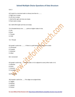#### 5) B. 0

6) If node N is a terminal node in a binary tree then its .........

- A. Right tree is empty
- B. Left tree is empty
- C. Both left & right sub trees are empty
- D. Root node is empty
- 6) C. Both left & right sub trees are empty

7) In threaded binary tree ......... points to higher nodes in tree.

- A. Info
- B. Root
- C. Threads
- D. Child
- 7) C. Threads
- 8) A graph is said to be ........... if there is a path between any two of its nodes
- A. Connected
- B. Coupled
- C. Attached
- D. Allied
- 8) A. Connected

9) A graph is said to be ....... if every node u in G is adjacent to every other node v in G.

- A. Absolute
- B. Entire
- C. Inclusive
- D. Complete
- 9) D. Complete
- 10) A graph is said to be ....... if its edges are assigned data.
- A. Tagged
- B. Marked
- C. Lebeled
- D. Sticked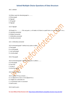10) C. Lebeled

- 11) Other name for directed graph is ..........
- A. Direct graph
- B. Digraph
- C. Dir-graph
- D. Digraph
- 11) D. Digraph

12) Graph G is .............. if for any pair u, v of nodes in G there is a path from u to vor path from v to u.

- A. Leterally connected
- B. Widely Connected
- C. Unliterally connected
- D. Literally connected
- 12) C. Unliterally connected
- 13) A connected graph T without any cycles is called ..
- A. free graph
- B. no cycle graph
- C. non cycle graph
- D. circular graph
- 13) A. free graph
- 14) A connected graph T without any cycles is called a ........
- A. A tree graph
- B. Free tree
- C. A tree d
- D. All of the above
- 14) D. All of the above
- 15) In a graph if  $E=(u,v)$  means ......
- A. u is adjacent to v but v is not adjacent to u
- B. e begins at u and ends at v
- C. u is processor and v is successor
- D. both b and c
- 15) D. both b and c